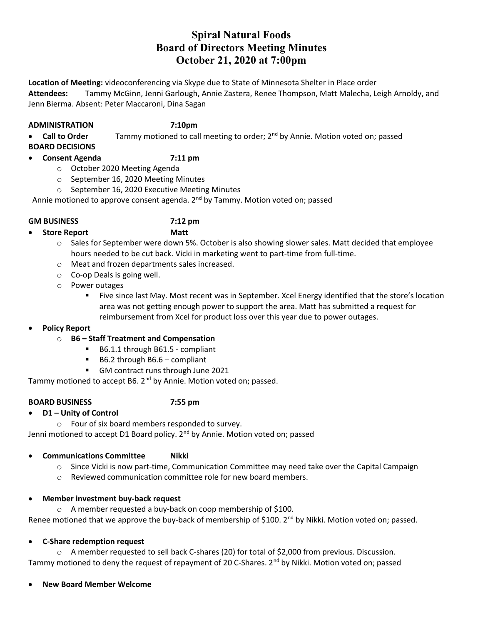# Spiral Natural Foods Board of Directors Meeting Minutes October 21, 2020 at 7:00pm

Location of Meeting: videoconferencing via Skype due to State of Minnesota Shelter in Place order Attendees: Tammy McGinn, Jenni Garlough, Annie Zastera, Renee Thompson, Matt Malecha, Leigh Arnoldy, and Jenn Bierma. Absent: Peter Maccaroni, Dina Sagan

### ADMINISTRATION 7:10pm

Call to Order Tammy motioned to call meeting to order; 2<sup>nd</sup> by Annie. Motion voted on; passed

- BOARD DECISIONS
- Consent Agenda 7:11 pm
	- o October 2020 Meeting Agenda
	- o September 16, 2020 Meeting Minutes
	- o September 16, 2020 Executive Meeting Minutes

Annie motioned to approve consent agenda. 2<sup>nd</sup> by Tammy. Motion voted on; passed

### GM BUSINESS 7:12 pm

Store Report Matt

- $\circ$  Sales for September were down 5%. October is also showing slower sales. Matt decided that employee hours needed to be cut back. Vicki in marketing went to part-time from full-time.
- o Meat and frozen departments sales increased.
- o Co-op Deals is going well.
- o Power outages
	- Five since last May. Most recent was in September. Xcel Energy identified that the store's location area was not getting enough power to support the area. Matt has submitted a request for reimbursement from Xcel for product loss over this year due to power outages.
- Policy Report

## o B6 – Staff Treatment and Compensation

- B6.1.1 through B61.5 compliant
- B6.2 through B6.6 compliant
- GM contract runs through June 2021

Tammy motioned to accept B6. 2<sup>nd</sup> by Annie. Motion voted on; passed.

## BOARD BUSINESS 7:55 pm

- D1 Unity of Control
	- o Four of six board members responded to survey.

Jenni motioned to accept D1 Board policy. 2<sup>nd</sup> by Annie. Motion voted on; passed

# Communications Committee Nikki

- $\circ$  Since Vicki is now part-time, Communication Committee may need take over the Capital Campaign
- o Reviewed communication committee role for new board members.

## Member investment buy-back request

o A member requested a buy-back on coop membership of \$100. Renee motioned that we approve the buy-back of membership of \$100. 2<sup>nd</sup> by Nikki. Motion voted on; passed.

# C-Share redemption request

o A member requested to sell back C-shares (20) for total of \$2,000 from previous. Discussion. Tammy motioned to deny the request of repayment of 20 C-Shares. 2<sup>nd</sup> by Nikki. Motion voted on; passed

## New Board Member Welcome